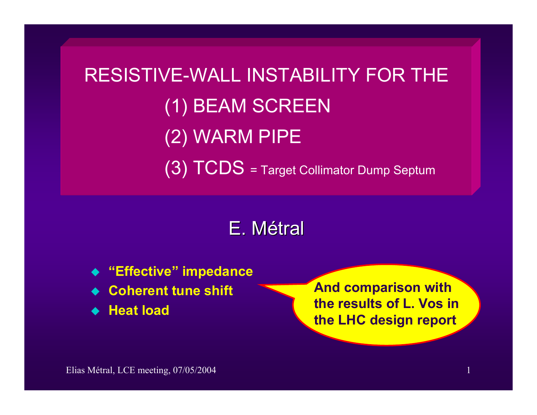RESISTIVE-WALL INSTABILITY FOR THE(1) BEAM SCREEN (2) WARM PIPE (3) TCDS = Target Collimator Dump Septum

E. Métral

- **"Effective" impedance**
- ◆ Coherent tune shift
- **Heat load**

**And comparison with the results of L. Vos in the LHC design report**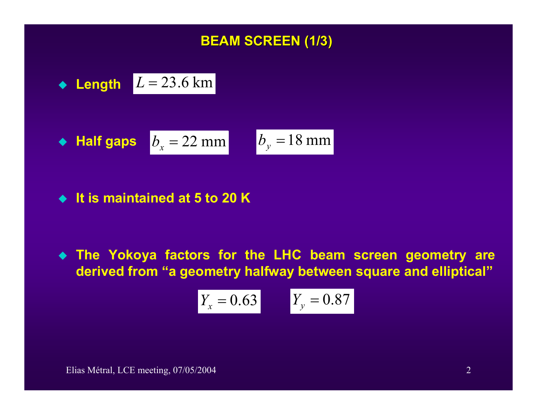### **BEAM SCREEN (1/3) BEAM SCREEN (1/3)**

$$
\bullet \quad \text{Length} \quad L = 23.6 \text{ km}
$$

• Half gaps 
$$
b_x = 22 \text{ mm}
$$
  $b_y = 18 \text{ mm}$ 

**It is maintained at 5 to 20 K** 

 **The Yokoya factors for the LHC beam screen geometry are derived from "a geometry halfway between square and elliptical"** 

$$
Y_x = 0.63 \t Y_y = 0.87
$$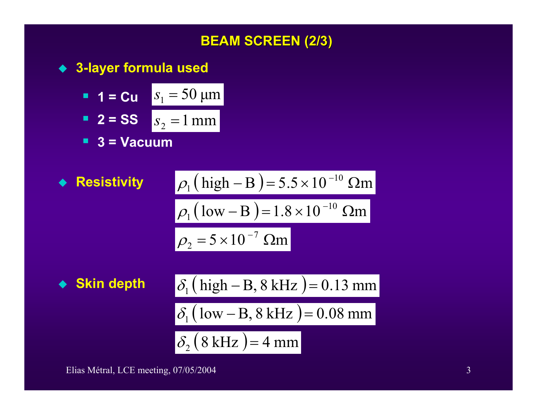

**3-layer formula used**

**1** = Cu 
$$
s_1 = 50 \mu m
$$
  
\n**2** = SS  $s_2 = 1 mm$ 

**3 = Vacuum** 

• **Resistivity**  
\n
$$
\rho_1 (\text{high} - \text{B}) = 5.5 \times 10^{-10} \text{ }\Omega\text{m}
$$
\n
$$
\rho_1 (\text{low} - \text{B}) = 1.8 \times 10^{-10} \text{ }\Omega\text{m}
$$
\n
$$
\rho_2 = 5 \times 10^{-7} \text{ }\Omega\text{m}
$$

 $\blacklozenge$  Skin depth  $\qquad \delta_1$ 

$$
\delta_1\big(\text{high}-\text{B}, 8\text{ kHz}\big)=0.13\text{ mm}
$$

 $\delta_1$  (low – B, 8 kHz) = 0.08 mm

$$
\delta_2 (8 \text{ kHz}) = 4 \text{ mm}
$$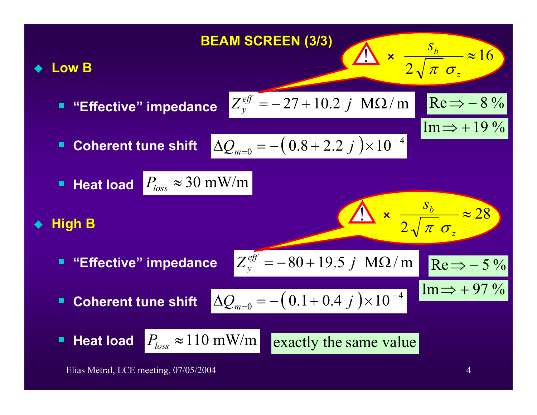

Elias Métral, LCE meeting, 07/05/2004 4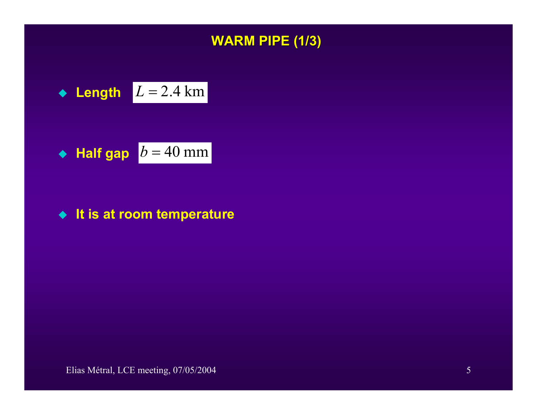

$$
\bullet \quad \text{Length} \quad L = 2.4 \text{ km}
$$

• Half gap 
$$
b = 40
$$
 mm

#### ◆ It is at room temperature

Elias Métral, LCE meeting, 07/05/2004 5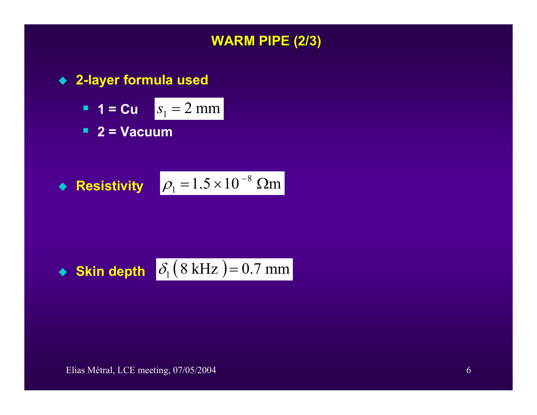

**2-layer formula used**

**1** = Cu 
$$
s_1 = 2
$$
 mm

**2 = Vacuum** 

• **Resistivity** 
$$
\rho_1 = 1.5 \times 10^{-8}
$$
  $\Omega$ m

• **skin depth** 
$$
\delta_1 (8 kHz) = 0.7 mm
$$

Elias Métral, LCE meeting, 07/05/2004 6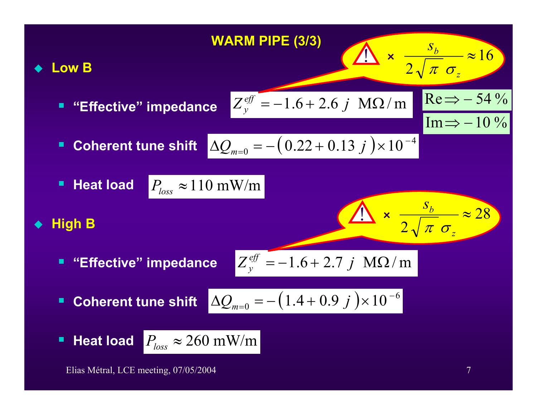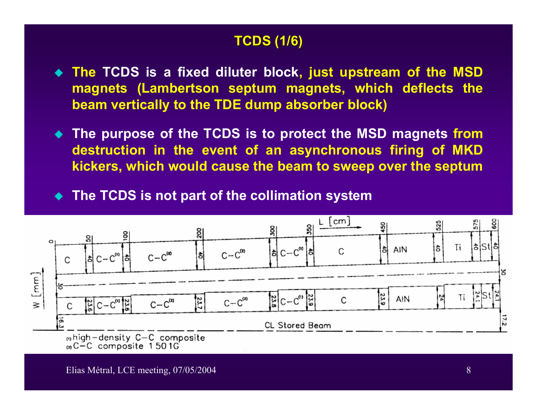## **TCDS (1/6) TCDS (1/6)**

- **The TCDS is a fixed diluter block, just upstream of the MSD magnets (Lambertson septum magnets, which deflects the beam vertically to the TDE dump absorber block)**
- **The purpose of the TCDS is to protect the MSD magnets from destruction in the event of an asynchronous firing of MKD kickers, which would cause the beam to sweep over the septum**

**The TCDS is not part of the collimation system**

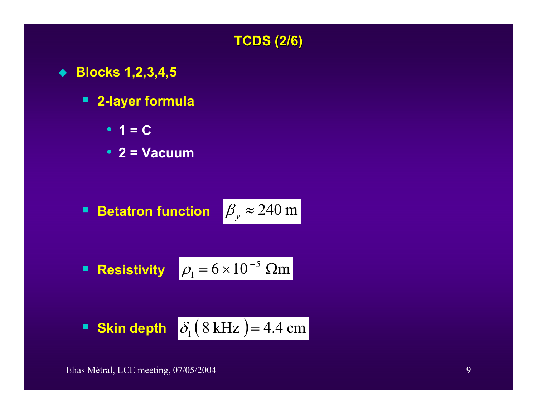### **TCDS (2/6) TCDS (2/6)**

- **Blocks 1,2,3,4,5**
	- **2-layer formula**
		- **1 = C**
		- **2 = Vacuum**

■ **Betatron function** 
$$
\beta_y \approx 240 \text{ m}
$$

■ **Resistivity** 
$$
\rho_1 = 6 \times 10^{-5}
$$
  $\Omega$ m

**Skin depth** 
$$
\delta_1 (8 kHz) = 4.4 cm
$$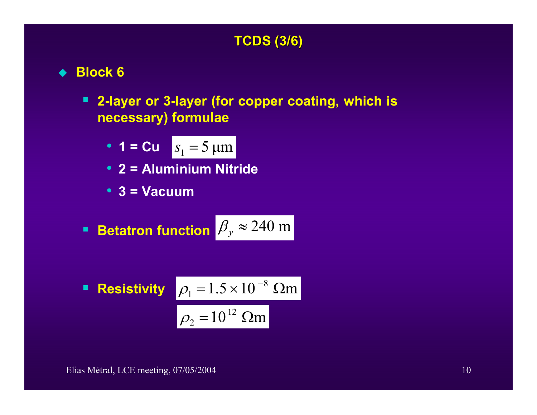# **TCDS (3/6) TCDS (3/6)**

- **Block 6**
	- **2-layer or 3-layer (for copper coating, which is necessary) formulae**

• 
$$
1 = Cu \quad s_1 = 5 \text{ }\mu\text{m}
$$

- **2 = Aluminium Nitride**
- **3 = Vacuum**
- $\blacksquare$ ■ Betatron function  $\beta_{y} \approx 240 \text{ m}$

■ **Resistivity** 
$$
\rho_1 = 1.5 \times 10^{-8} \text{ }\Omega\text{m}
$$
  
 $\rho_2 = 10^{12} \text{ }\Omega\text{m}$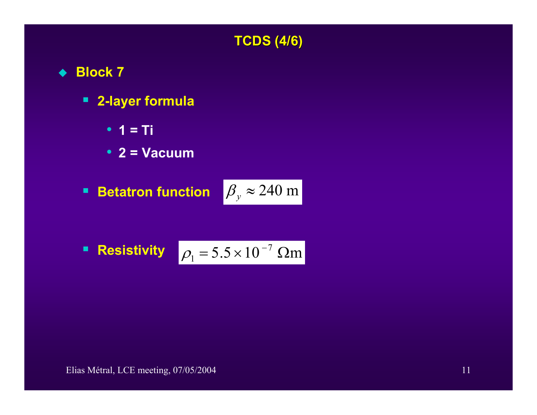## **TCDS (4/6) TCDS (4/6)**

- **Block 7**
	- **2-layer formula**
		- **1 = Ti**
		- **2 = Vacuum**
	- $\blacksquare$ **Betatron function**

$$
\beta_{y} \approx 240 \text{ m}
$$

■ **Resistivity** 
$$
\rho_1 = 5.5 \times 10^{-7}
$$
  $\Omega$ m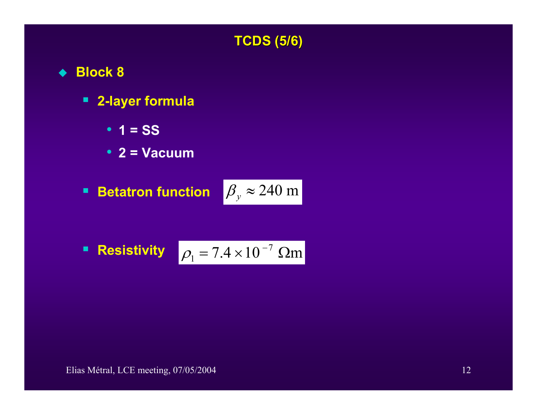## **TCDS (5/6) TCDS (5/6)**

- **Block 8**
	- **2-layer formula**
		- **1 = SS**
		- **2 = Vacuum**
	- $\blacksquare$ **Betatron function**

$$
\beta_{y} \approx 240 \text{ m}
$$

■ **Resistivity** 
$$
\rho_1 = 7.4 \times 10^{-7}
$$
  $\Omega$ m